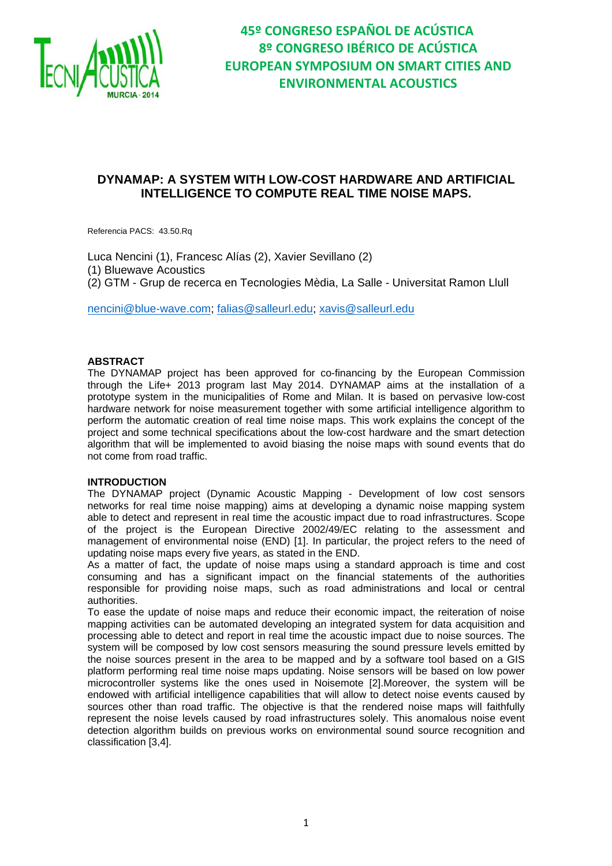

# **DYNAMAP: A SYSTEM WITH LOW-COST HARDWARE AND ARTIFICIAL INTELLIGENCE TO COMPUTE REAL TIME NOISE MAPS.**

Referencia PACS: 43.50.Rq

Luca Nencini (1), Francesc Alías (2), Xavier Sevillano (2) (1) Bluewave Acoustics (2) GTM - Grup de recerca en Tecnologies Mèdia, La Salle - Universitat Ramon Llull

nencini@blue-wave.com; falias@salleurl.edu; xavis@salleurl.edu

#### **ABSTRACT**

The DYNAMAP project has been approved for co-financing by the European Commission through the Life+ 2013 program last May 2014. DYNAMAP aims at the installation of a prototype system in the municipalities of Rome and Milan. It is based on pervasive low-cost hardware network for noise measurement together with some artificial intelligence algorithm to perform the automatic creation of real time noise maps. This work explains the concept of the project and some technical specifications about the low-cost hardware and the smart detection algorithm that will be implemented to avoid biasing the noise maps with sound events that do not come from road traffic.

#### **INTRODUCTION**

The DYNAMAP project (Dynamic Acoustic Mapping - Development of low cost sensors networks for real time noise mapping) aims at developing a dynamic noise mapping system able to detect and represent in real time the acoustic impact due to road infrastructures. Scope of the project is the European Directive 2002/49/EC relating to the assessment and management of environmental noise (END) [1]. In particular, the project refers to the need of updating noise maps every five years, as stated in the END.

As a matter of fact, the update of noise maps using a standard approach is time and cost consuming and has a significant impact on the financial statements of the authorities responsible for providing noise maps, such as road administrations and local or central authorities.

To ease the update of noise maps and reduce their economic impact, the reiteration of noise mapping activities can be automated developing an integrated system for data acquisition and processing able to detect and report in real time the acoustic impact due to noise sources. The system will be composed by low cost sensors measuring the sound pressure levels emitted by the noise sources present in the area to be mapped and by a software tool based on a GIS platform performing real time noise maps updating. Noise sensors will be based on low power microcontroller systems like the ones used in Noisemote [2].Moreover, the system will be endowed with artificial intelligence capabilities that will allow to detect noise events caused by sources other than road traffic. The objective is that the rendered noise maps will faithfully represent the noise levels caused by road infrastructures solely. This anomalous noise event detection algorithm builds on previous works on environmental sound source recognition and classification [3,4].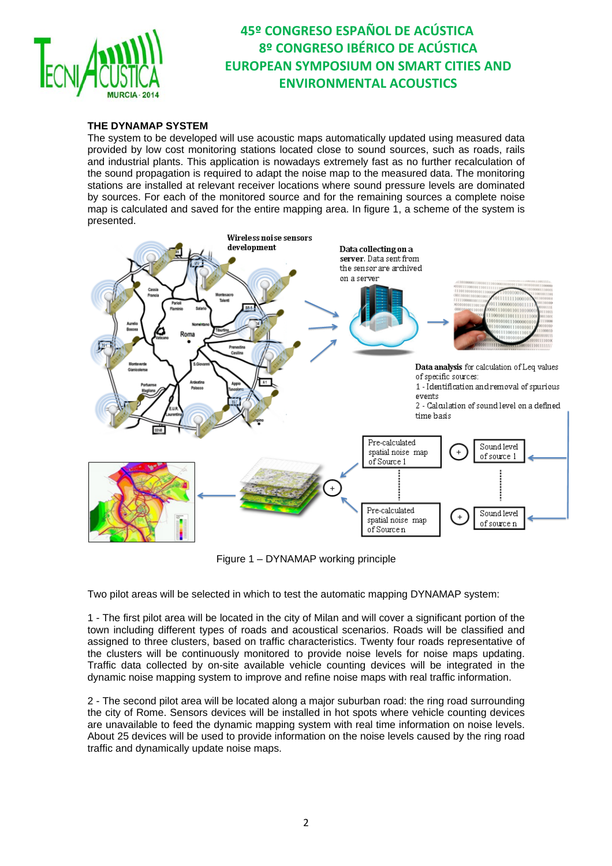

### **THE DYNAMAP SYSTEM**

The system to be developed will use acoustic maps automatically updated using measured data provided by low cost monitoring stations located close to sound sources, such as roads, rails and industrial plants. This application is nowadays extremely fast as no further recalculation of the sound propagation is required to adapt the noise map to the measured data. The monitoring stations are installed at relevant receiver locations where sound pressure levels are dominated by sources. For each of the monitored source and for the remaining sources a complete noise map is calculated and saved for the entire mapping area. In figure 1, a scheme of the system is presented.



Figure 1 – DYNAMAP working principle

Two pilot areas will be selected in which to test the automatic mapping DYNAMAP system:

1 - The first pilot area will be located in the city of Milan and will cover a significant portion of the town including different types of roads and acoustical scenarios. Roads will be classified and assigned to three clusters, based on traffic characteristics. Twenty four roads representative of the clusters will be continuously monitored to provide noise levels for noise maps updating. Traffic data collected by on-site available vehicle counting devices will be integrated in the dynamic noise mapping system to improve and refine noise maps with real traffic information.

2 - The second pilot area will be located along a major suburban road: the ring road surrounding the city of Rome. Sensors devices will be installed in hot spots where vehicle counting devices are unavailable to feed the dynamic mapping system with real time information on noise levels. About 25 devices will be used to provide information on the noise levels caused by the ring road traffic and dynamically update noise maps.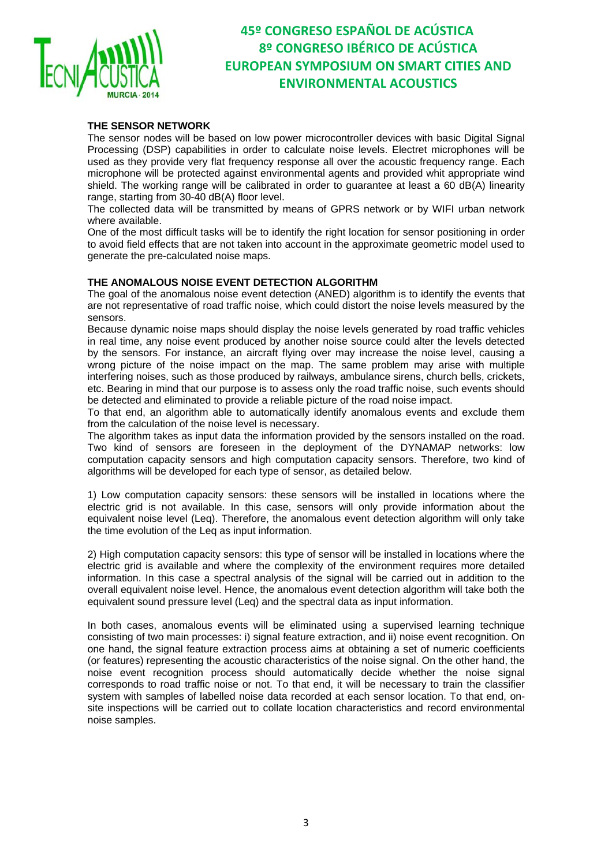

### **THE SENSOR NETWORK**

The sensor nodes will be based on low power microcontroller devices with basic Digital Signal Processing (DSP) capabilities in order to calculate noise levels. Electret microphones will be used as they provide very flat frequency response all over the acoustic frequency range. Each microphone will be protected against environmental agents and provided whit appropriate wind shield. The working range will be calibrated in order to guarantee at least a 60 dB(A) linearity range, starting from 30-40 dB(A) floor level.

The collected data will be transmitted by means of GPRS network or by WIFI urban network where available.

One of the most difficult tasks will be to identify the right location for sensor positioning in order to avoid field effects that are not taken into account in the approximate geometric model used to generate the pre-calculated noise maps.

### **THE ANOMALOUS NOISE EVENT DETECTION ALGORITHM**

The goal of the anomalous noise event detection (ANED) algorithm is to identify the events that are not representative of road traffic noise, which could distort the noise levels measured by the sensors.

Because dynamic noise maps should display the noise levels generated by road traffic vehicles in real time, any noise event produced by another noise source could alter the levels detected by the sensors. For instance, an aircraft flying over may increase the noise level, causing a wrong picture of the noise impact on the map. The same problem may arise with multiple interfering noises, such as those produced by railways, ambulance sirens, church bells, crickets, etc. Bearing in mind that our purpose is to assess only the road traffic noise, such events should be detected and eliminated to provide a reliable picture of the road noise impact.

To that end, an algorithm able to automatically identify anomalous events and exclude them from the calculation of the noise level is necessary.

The algorithm takes as input data the information provided by the sensors installed on the road. Two kind of sensors are foreseen in the deployment of the DYNAMAP networks: low computation capacity sensors and high computation capacity sensors. Therefore, two kind of algorithms will be developed for each type of sensor, as detailed below.

1) Low computation capacity sensors: these sensors will be installed in locations where the electric grid is not available. In this case, sensors will only provide information about the equivalent noise level (Leq). Therefore, the anomalous event detection algorithm will only take the time evolution of the Leq as input information.

2) High computation capacity sensors: this type of sensor will be installed in locations where the electric grid is available and where the complexity of the environment requires more detailed information. In this case a spectral analysis of the signal will be carried out in addition to the overall equivalent noise level. Hence, the anomalous event detection algorithm will take both the equivalent sound pressure level (Leq) and the spectral data as input information.

In both cases, anomalous events will be eliminated using a supervised learning technique consisting of two main processes: i) signal feature extraction, and ii) noise event recognition. On one hand, the signal feature extraction process aims at obtaining a set of numeric coefficients (or features) representing the acoustic characteristics of the noise signal. On the other hand, the noise event recognition process should automatically decide whether the noise signal corresponds to road traffic noise or not. To that end, it will be necessary to train the classifier system with samples of labelled noise data recorded at each sensor location. To that end, onsite inspections will be carried out to collate location characteristics and record environmental noise samples.